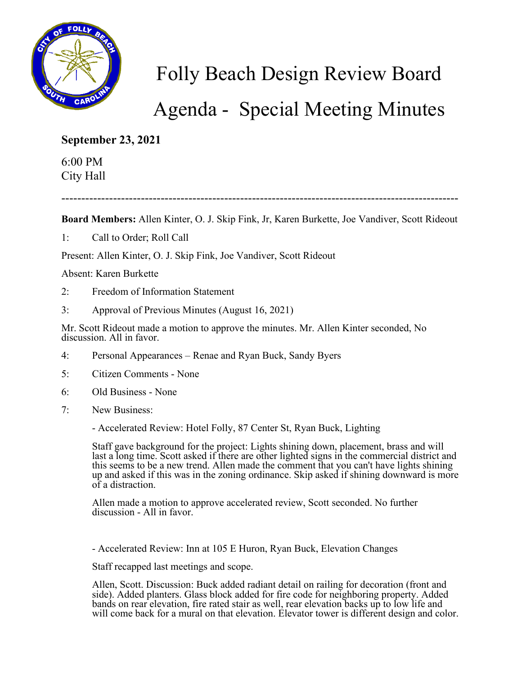

Folly Beach Design Review Board

Agenda - Special Meeting Minutes

**September 23, 2021**

6:00 PM City Hall

----------------------------------------------------------------------------------------------------

**Board Members:** Allen Kinter, O. J. Skip Fink, Jr, Karen Burkette, Joe Vandiver, Scott Rideout

1: Call to Order; Roll Call

Present: Allen Kinter, O. J. Skip Fink, Joe Vandiver, Scott Rideout

Absent: Karen Burkette

- 2: Freedom of Information Statement
- 3: Approval of Previous Minutes (August 16, 2021)

Mr. Scott Rideout made a motion to approve the minutes. Mr. Allen Kinter seconded, No discussion. All in favor.

- 4: Personal Appearances Renae and Ryan Buck, Sandy Byers
- 5: Citizen Comments None
- 6: Old Business None
- 7: New Business:
	- Accelerated Review: Hotel Folly, 87 Center St, Ryan Buck, Lighting

Staff gave background for the project: Lights shining down, placement, brass and will last a long time. Scott asked if there are other lighted signs in the commercial district and this seems to be a new trend. Allen made the comment that you can't have lights shining up and asked if this was in the zoning ordinance. Skip asked if shining downward is more of a distraction.

Allen made a motion to approve accelerated review, Scott seconded. No further discussion - All in favor.

- Accelerated Review: Inn at 105 E Huron, Ryan Buck, Elevation Changes

Staff recapped last meetings and scope.

Allen, Scott. Discussion: Buck added radiant detail on railing for decoration (front and side). Added planters. Glass block added for fire code for neighboring property. Added bands on rear elevation, fire rated stair as well, rear elevation backs up to low life and will come back for a mural on that elevation. Elevator tower is different design and color.